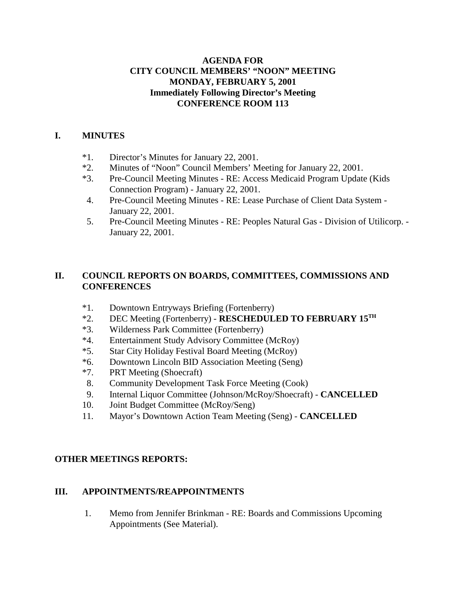# **AGENDA FOR CITY COUNCIL MEMBERS' "NOON" MEETING MONDAY, FEBRUARY 5, 2001 Immediately Following Director's Meeting CONFERENCE ROOM 113**

# **I. MINUTES**

- \*1. Director's Minutes for January 22, 2001.
- \*2. Minutes of "Noon" Council Members' Meeting for January 22, 2001.
- \*3. Pre-Council Meeting Minutes RE: Access Medicaid Program Update (Kids Connection Program) - January 22, 2001.
- 4. Pre-Council Meeting Minutes RE: Lease Purchase of Client Data System January 22, 2001.
- 5. Pre-Council Meeting Minutes RE: Peoples Natural Gas Division of Utilicorp. January 22, 2001.

# **II. COUNCIL REPORTS ON BOARDS, COMMITTEES, COMMISSIONS AND CONFERENCES**

- \*1. Downtown Entryways Briefing (Fortenberry)
- \*2. DEC Meeting (Fortenberry) **RESCHEDULED TO FEBRUARY 15TH**
- \*3. Wilderness Park Committee (Fortenberry)
- \*4. Entertainment Study Advisory Committee (McRoy)
- \*5. Star City Holiday Festival Board Meeting (McRoy)
- \*6. Downtown Lincoln BID Association Meeting (Seng)
- \*7. PRT Meeting (Shoecraft)
- 8. Community Development Task Force Meeting (Cook)
- 9. Internal Liquor Committee (Johnson/McRoy/Shoecraft) **CANCELLED**
- 10. Joint Budget Committee (McRoy/Seng)
- 11. Mayor's Downtown Action Team Meeting (Seng) **CANCELLED**

# **OTHER MEETINGS REPORTS:**

### **III. APPOINTMENTS/REAPPOINTMENTS**

1. Memo from Jennifer Brinkman - RE: Boards and Commissions Upcoming Appointments (See Material).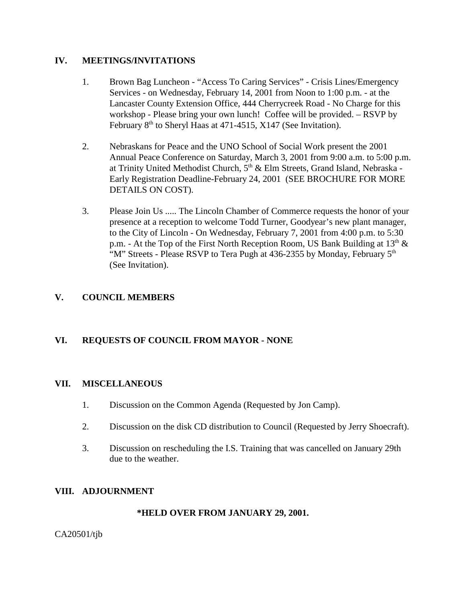#### **IV. MEETINGS/INVITATIONS**

- 1. Brown Bag Luncheon "Access To Caring Services" Crisis Lines/Emergency Services - on Wednesday, February 14, 2001 from Noon to 1:00 p.m. - at the Lancaster County Extension Office, 444 Cherrycreek Road - No Charge for this workshop - Please bring your own lunch! Coffee will be provided. – RSVP by February 8<sup>th</sup> to Sheryl Haas at 471-4515, X147 (See Invitation).
- 2. Nebraskans for Peace and the UNO School of Social Work present the 2001 Annual Peace Conference on Saturday, March 3, 2001 from 9:00 a.m. to 5:00 p.m. at Trinity United Methodist Church, 5<sup>th</sup> & Elm Streets, Grand Island, Nebraska -Early Registration Deadline-February 24, 2001 (SEE BROCHURE FOR MORE DETAILS ON COST).
- 3. Please Join Us ..... The Lincoln Chamber of Commerce requests the honor of your presence at a reception to welcome Todd Turner, Goodyear's new plant manager, to the City of Lincoln - On Wednesday, February 7, 2001 from 4:00 p.m. to 5:30 p.m. - At the Top of the First North Reception Room, US Bank Building at  $13<sup>th</sup> \&$ "M" Streets - Please RSVP to Tera Pugh at 436-2355 by Monday, February 5<sup>th</sup> (See Invitation).

# **V. COUNCIL MEMBERS**

# **VI. REQUESTS OF COUNCIL FROM MAYOR - NONE**

#### **VII. MISCELLANEOUS**

- 1. Discussion on the Common Agenda (Requested by Jon Camp).
- 2. Discussion on the disk CD distribution to Council (Requested by Jerry Shoecraft).
- 3. Discussion on rescheduling the I.S. Training that was cancelled on January 29th due to the weather.

### **VIII. ADJOURNMENT**

#### **\*HELD OVER FROM JANUARY 29, 2001.**

CA20501/tjb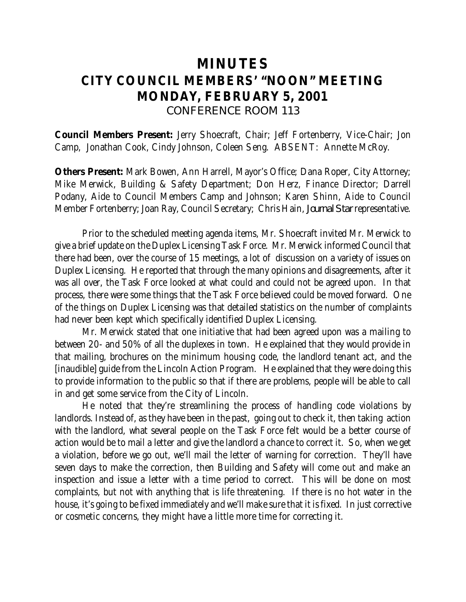# **MINUTES CITY COUNCIL MEMBERS' "NOON" MEETING MONDAY, FEBRUARY 5, 2001** *CONFERENCE ROOM 113*

**Council Members Present:** Jerry Shoecraft, Chair; Jeff Fortenberry, Vice-Chair; Jon Camp, Jonathan Cook, Cindy Johnson, Coleen Seng. ABSENT: Annette McRoy.

**Others Present:** Mark Bowen, Ann Harrell, Mayor's Office; Dana Roper, City Attorney; Mike Merwick, Building & Safety Department; Don Herz, Finance Director; Darrell Podany, Aide to Council Members Camp and Johnson; Karen Shinn, Aide to Council Member Fortenberry; Joan Ray, Council Secretary; Chris Hain, *Journal Star* representative.

Prior to the scheduled meeting agenda items, Mr. Shoecraft invited Mr. Merwick to give a brief update on the Duplex Licensing Task Force. Mr. Merwick informed Council that there had been, over the course of 15 meetings, a lot of discussion on a variety of issues on Duplex Licensing. He reported that through the many opinions and disagreements, after it was all over, the Task Force looked at what could and could not be agreed upon. In that process, there were some things that the Task Force believed could be moved forward. One of the things on Duplex Licensing was that detailed statistics on the number of complaints had never been kept which specifically identified Duplex Licensing.

Mr. Merwick stated that one initiative that had been agreed upon was a mailing to between 20- and 50% of all the duplexes in town. He explained that they would provide in that mailing, brochures on the minimum housing code, the landlord tenant act, and the [inaudible] guide from the Lincoln Action Program. He explained that they were doing this to provide information to the public so that if there are problems, people will be able to call in and get some service from the City of Lincoln.

He noted that they're streamlining the process of handling code violations by landlords. Instead of, as they have been in the past, going out to check it, then taking action with the landlord, what several people on the Task Force felt would be a better course of action would be to mail a letter and give the landlord a chance to correct it. So, when we get a violation, before we go out, we'll mail the letter of warning for correction. They'll have seven days to make the correction, then Building and Safety will come out and make an inspection and issue a letter with a time period to correct. This will be done on most complaints, but not with anything that is life threatening. If there is no hot water in the house, it's going to be fixed immediately and we'll make sure that it is fixed. In just corrective or cosmetic concerns, they might have a little more time for correcting it.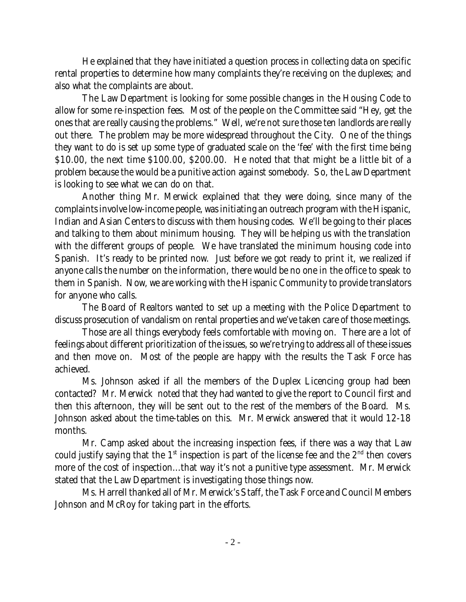He explained that they have initiated a question process in collecting data on specific rental properties to determine how many complaints they're receiving on the duplexes; and also what the complaints are about.

The Law Department is looking for some possible changes in the Housing Code to allow for some re-inspection fees. Most of the people on the Committee said "Hey, get the ones that are really causing the problems." Well, we're not sure those ten landlords are really out there. The problem may be more widespread throughout the City. One of the things they want to do is set up some type of graduated scale on the 'fee' with the first time being \$10.00, the next time \$100.00, \$200.00. He noted that that might be a little bit of a problem because the would be a punitive action against somebody. So, the Law Department is looking to see what we can do on that.

Another thing Mr. Merwick explained that they were doing, since many of the complaints involve low-income people, was initiating an outreach program with the Hispanic, Indian and Asian Centers to discuss with them housing codes. We'll be going to their places and talking to them about minimum housing. They will be helping us with the translation with the different groups of people. We have translated the minimum housing code into Spanish. It's ready to be printed now. Just before we got ready to print it, we realized if anyone calls the number on the information, there would be no one in the office to speak to them in Spanish. Now, we are working with the Hispanic Community to provide translators for anyone who calls.

The Board of Realtors wanted to set up a meeting with the Police Department to discuss prosecution of vandalism on rental properties and we've taken care of those meetings.

Those are all things everybody feels comfortable with moving on. There are a lot of feelings about different prioritization of the issues, so we're trying to address all of these issues and then move on. Most of the people are happy with the results the Task Force has achieved.

Ms. Johnson asked if all the members of the Duplex Licencing group had been contacted? Mr. Merwick noted that they had wanted to give the report to Council first and then this afternoon, they will be sent out to the rest of the members of the Board. Ms. Johnson asked about the time-tables on this. Mr. Merwick answered that it would 12-18 months.

Mr. Camp asked about the increasing inspection fees, if there was a way that Law could justify saying that the  $1<sup>st</sup>$  inspection is part of the license fee and the  $2<sup>nd</sup>$  then covers more of the cost of inspection...that way it's not a punitive type assessment. Mr. Merwick stated that the Law Department is investigating those things now.

Ms. Harrell thanked all of Mr. Merwick's Staff, the Task Force and Council Members Johnson and McRoy for taking part in the efforts.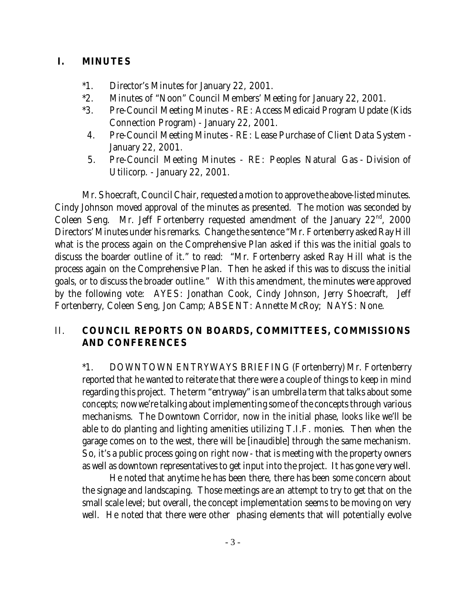# **I. MINUTES**

- \*1. Director's Minutes for January 22, 2001.
- \*2. Minutes of "Noon" Council Members' Meeting for January 22, 2001.
- \*3. Pre-Council Meeting Minutes RE: Access Medicaid Program Update (Kids Connection Program) - January 22, 2001.
- 4. Pre-Council Meeting Minutes RE: Lease Purchase of Client Data System January 22, 2001.
- 5. Pre-Council Meeting Minutes RE: Peoples Natural Gas Division of Utilicorp. - January 22, 2001.

Mr. Shoecraft, Council Chair, requested a motion to approve the above-listed minutes. Cindy Johnson moved approval of the minutes as presented. The motion was seconded by Coleen Seng. Mr. Jeff Fortenberry requested amendment of the January  $22<sup>nd</sup>$ , 2000 Directors' Minutes under his remarks. Change the sentence "Mr. Fortenberry asked Ray Hill what is the process again on the Comprehensive Plan asked if this was the initial goals to discuss the boarder outline of it." to read: "Mr. Fortenberry asked Ray Hill what is the process again on the Comprehensive Plan. Then he asked if this was to discuss the initial goals, or to discuss the broader outline." With this amendment, the minutes were approved by the following vote: AYES: Jonathan Cook, Cindy Johnson, Jerry Shoecraft, Jeff Fortenberry, Coleen Seng, Jon Camp; ABSENT: Annette McRoy; NAYS: None.

# II. **COUNCIL REPORTS ON BOARDS, COMMITTEES, COMMISSIONS AND CONFERENCES**

\*1. DOWNTOWN ENTRYWAYS BRIEFING (Fortenberry) Mr. Fortenberry reported that he wanted to reiterate that there were a couple of things to keep in mind regarding this project. The term "entryway" is an umbrella term that talks about some concepts; now we're talking about implementing some of the concepts through various mechanisms. The Downtown Corridor, now in the initial phase, looks like we'll be able to do planting and lighting amenities utilizing T.I.F. monies. Then when the garage comes on to the west, there will be [inaudible] through the same mechanism. So, it's a public process going on right now - that is meeting with the property owners as well as downtown representatives to get input into the project. It has gone very well.

He noted that anytime he has been there, there has been some concern about the signage and landscaping. Those meetings are an attempt to try to get that on the small scale level; but overall, the concept implementation seems to be moving on very well. He noted that there were other phasing elements that will potentially evolve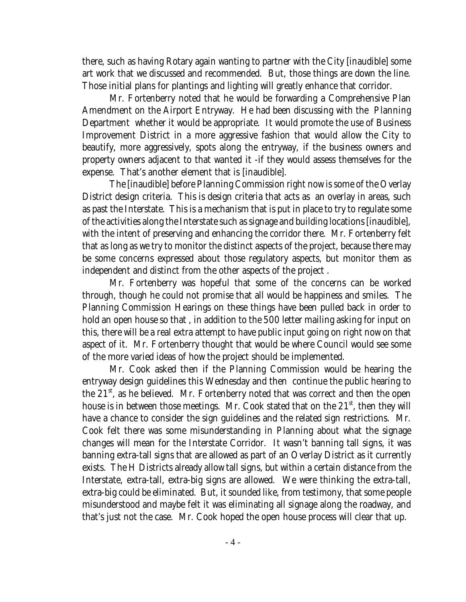there, such as having Rotary again wanting to partner with the City [inaudible] some art work that we discussed and recommended. But, those things are down the line. Those initial plans for plantings and lighting will greatly enhance that corridor.

Mr. Fortenberry noted that he would be forwarding a Comprehensive Plan Amendment on the Airport Entryway. He had been discussing with the Planning Department whether it would be appropriate. It would promote the use of Business Improvement District in a more aggressive fashion that would allow the City to beautify, more aggressively, spots along the entryway, if the business owners and property owners adjacent to that wanted it -if they would assess themselves for the expense. That's another element that is [inaudible].

The [inaudible] before Planning Commission right now is some of the Overlay District design criteria. This is design criteria that acts as an overlay in areas, such as past the Interstate. This is a mechanism that is put in place to try to regulate some of the activities along the Interstate such as signage and building locations [inaudible], with the intent of preserving and enhancing the corridor there. Mr. Fortenberry felt that as long as we try to monitor the distinct aspects of the project, because there may be some concerns expressed about those regulatory aspects, but monitor them as independent and distinct from the other aspects of the project .

Mr. Fortenberry was hopeful that some of the concerns can be worked through, though he could not promise that all would be happiness and smiles. The Planning Commission Hearings on these things have been pulled back in order to hold an open house so that , in addition to the 500 letter mailing asking for input on this, there will be a real extra attempt to have public input going on right now on that aspect of it. Mr. Fortenberry thought that would be where Council would see some of the more varied ideas of how the project should be implemented.

Mr. Cook asked then if the Planning Commission would be hearing the entryway design guidelines this Wednesday and then continue the public hearing to the  $21<sup>st</sup>$ , as he believed. Mr. Fortenberry noted that was correct and then the open house is in between those meetings. Mr. Cook stated that on the  $21<sup>st</sup>$ , then they will have a chance to consider the sign guidelines and the related sign restrictions. Mr. Cook felt there was some misunderstanding in Planning about what the signage changes will mean for the Interstate Corridor. It wasn't banning tall signs, it was banning extra-tall signs that are allowed as part of an Overlay District as it currently exists. The H Districts already allow tall signs, but within a certain distance from the Interstate, extra-tall, extra-big signs are allowed. We were thinking the extra-tall, extra-big could be eliminated. But, it sounded like, from testimony, that some people misunderstood and maybe felt it was eliminating all signage along the roadway, and that's just not the case. Mr. Cook hoped the open house process will clear that up.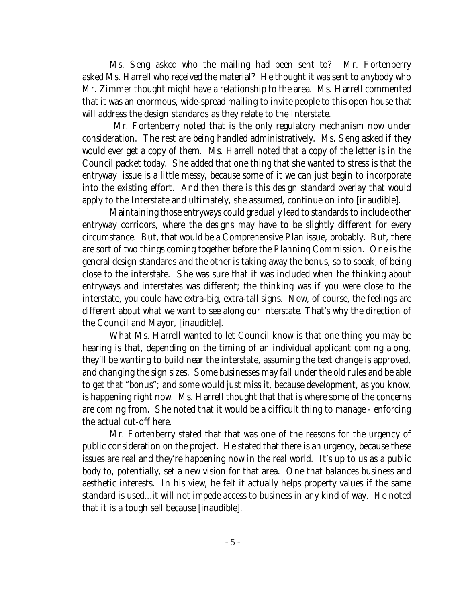Ms. Seng asked who the mailing had been sent to? Mr. Fortenberry asked Ms. Harrell who received the material? He thought it was sent to anybody who Mr. Zimmer thought might have a relationship to the area. Ms. Harrell commented that it was an enormous, wide-spread mailing to invite people to this open house that will address the design standards as they relate to the Interstate.

 Mr. Fortenberry noted that is the only regulatory mechanism now under consideration. The rest are being handled administratively. Ms. Seng asked if they would ever get a copy of them. Ms. Harrell noted that a copy of the letter is in the Council packet today. She added that one thing that she wanted to stress is that the entryway issue is a little messy, because some of it we can just begin to incorporate into the existing effort. And then there is this design standard overlay that would apply to the Interstate and ultimately, she assumed, continue on into [inaudible].

Maintaining those entryways could gradually lead to standards to include other entryway corridors, where the designs may have to be slightly different for every circumstance. But, that would be a Comprehensive Plan issue, probably. But, there are sort of two things coming together before the Planning Commission. One is the general design standards and the other is taking away the bonus, so to speak, of being close to the interstate. She was sure that it was included when the thinking about entryways and interstates was different; the thinking was if you were close to the interstate, you could have extra-big, extra-tall signs. Now, of course, the feelings are different about what we want to see along our interstate. That's why the direction of the Council and Mayor, [inaudible].

What Ms. Harrell wanted to let Council know is that one thing you may be hearing is that, depending on the timing of an individual applicant coming along, they'll be wanting to build near the interstate, assuming the text change is approved, and changing the sign sizes. Some businesses may fall under the old rules and be able to get that "bonus"; and some would just miss it, because development, as you know, is happening right now. Ms. Harrell thought that that is where some of the concerns are coming from. She noted that it would be a difficult thing to manage - enforcing the actual cut-off here.

Mr. Fortenberry stated that that was one of the reasons for the urgency of public consideration on the project. He stated that there is an urgency, because these issues are real and they're happening now in the real world. It's up to us as a public body to, potentially, set a new vision for that area. One that balances business and aesthetic interests. In his view, he felt it actually helps property values if the same standard is used...it will not impede access to business in any kind of way. He noted that it is a tough sell because [inaudible].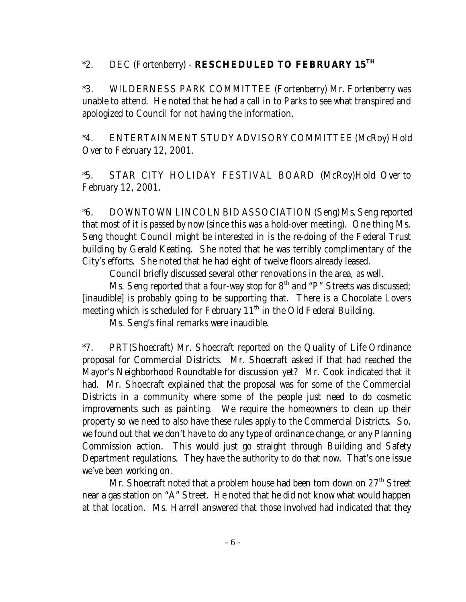# \*2. DEC (Fortenberry) - **RESCHEDULED TO FEBRUARY 15TH**

\*3. WILDERNESS PARK COMMITTEE (Fortenberry) Mr. Fortenberry was unable to attend. He noted that he had a call in to Parks to see what transpired and apologized to Council for not having the information.

\*4. ENTERTAINMENT STUDY ADVISORY COMMITTEE (McRoy) Hold Over to February 12, 2001.

\*5. STAR CITY HOLIDAY FESTIVAL BOARD (McRoy)Hold Over to February 12, 2001.

\*6. DOWNTOWN LINCOLN BID ASSOCIATION (Seng) Ms. Seng reported that most of it is passed by now (since this was a hold-over meeting). One thing Ms. Seng thought Council might be interested in is the re-doing of the Federal Trust building by Gerald Keating. She noted that he was terribly complimentary of the City's efforts. She noted that he had eight of twelve floors already leased.

Council briefly discussed several other renovations in the area, as well.

Ms. Seng reported that a four-way stop for  $8<sup>th</sup>$  and "P" Streets was discussed; [inaudible] is probably going to be supporting that. There is a Chocolate Lovers meeting which is scheduled for February  $11<sup>th</sup>$  in the Old Federal Building.

Ms. Seng's final remarks were inaudible.

\*7. PRT(Shoecraft) Mr. Shoecraft reported on the Quality of Life Ordinance proposal for Commercial Districts. Mr. Shoecraft asked if that had reached the Mayor's Neighborhood Roundtable for discussion yet? Mr. Cook indicated that it had. Mr. Shoecraft explained that the proposal was for some of the Commercial Districts in a community where some of the people just need to do cosmetic improvements such as painting. We require the homeowners to clean up their property so we need to also have these rules apply to the Commercial Districts. So, we found out that we don't have to do any type of ordinance change, or any Planning Commission action. This would just go straight through Building and Safety Department regulations. They have the authority to do that now. That's one issue we've been working on.

Mr. Shoecraft noted that a problem house had been torn down on  $27<sup>th</sup>$  Street near a gas station on "A" Street. He noted that he did not know what would happen at that location. Ms. Harrell answered that those involved had indicated that they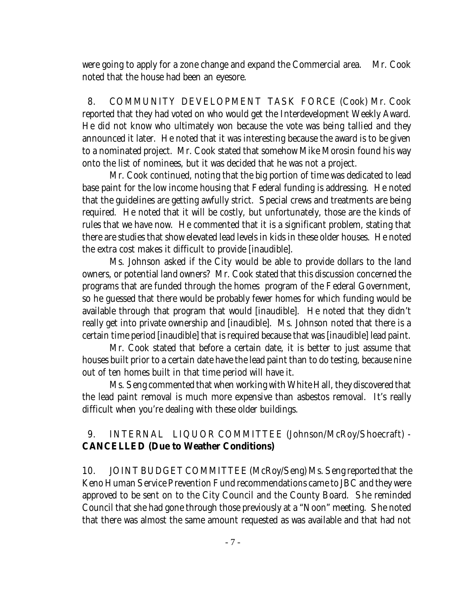were going to apply for a zone change and expand the Commercial area. Mr. Cook noted that the house had been an eyesore.

 8. COMMUNITY DEVELOPMENT TASK FORCE (Cook) Mr. Cook reported that they had voted on who would get the Interdevelopment Weekly Award. He did not know who ultimately won because the vote was being tallied and they announced it later. He noted that it was interesting because the award is to be given to a nominated project. Mr. Cook stated that somehow Mike Morosin found his way onto the list of nominees, but it was decided that he was not a project.

Mr. Cook continued, noting that the big portion of time was dedicated to lead base paint for the low income housing that Federal funding is addressing. He noted that the guidelines are getting awfully strict. Special crews and treatments are being required. He noted that it will be costly, but unfortunately, those are the kinds of rules that we have now. He commented that it is a significant problem, stating that there are studies that show elevated lead levels in kids in these older houses. He noted the extra cost makes it difficult to provide [inaudible].

Ms. Johnson asked if the City would be able to provide dollars to the land owners, or potential land owners? Mr. Cook stated that this discussion concerned the programs that are funded through the homes program of the Federal Government, so he guessed that there would be probably fewer homes for which funding would be available through that program that would [inaudible]. He noted that they didn't really get into private ownership and [inaudible]. Ms. Johnson noted that there is a certain time period [inaudible] that is required because that was [inaudible] lead paint.

Mr. Cook stated that before a certain date, it is better to just assume that houses built prior to a certain date have the lead paint than to do testing, because nine out of ten homes built in that time period will have it.

Ms. Seng commented that when working with White Hall, they discovered that the lead paint removal is much more expensive than asbestos removal. It's really difficult when you're dealing with these older buildings.

# 9. INTERNAL LIQUOR COMMITTEE (Johnson/McRoy/Shoecraft) - **CANCELLED (Due to Weather Conditions)**

10. JOINT BUDGET COMMITTEE (McRoy/Seng) Ms. Seng reported that the Keno Human Service Prevention Fund recommendations came to JBC and they were approved to be sent on to the City Council and the County Board. She reminded Council that she had gone through those previously at a "Noon" meeting. She noted that there was almost the same amount requested as was available and that had not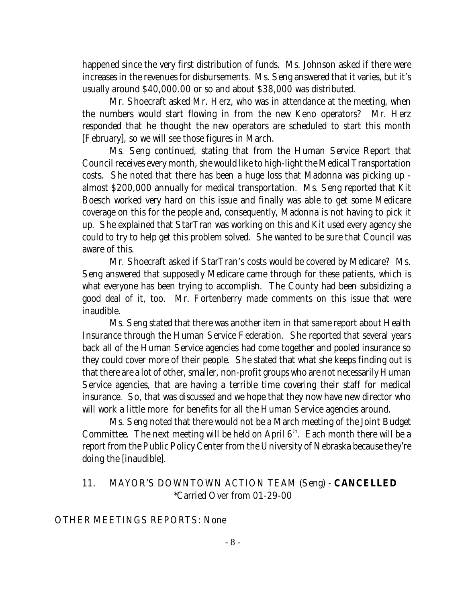happened since the very first distribution of funds. Ms. Johnson asked if there were increases in the revenues for disbursements. Ms. Seng answered that it varies, but it's usually around \$40,000.00 or so and about \$38,000 was distributed.

Mr. Shoecraft asked Mr. Herz, who was in attendance at the meeting, when the numbers would start flowing in from the new Keno operators? Mr. Herz responded that he thought the new operators are scheduled to start this month [February], so we will see those figures in March.

Ms. Seng continued, stating that from the Human Service Report that Council receives every month, she would like to high-light the Medical Transportation costs. She noted that there has been a huge loss that Madonna was picking up almost \$200,000 annually for medical transportation. Ms. Seng reported that Kit Boesch worked very hard on this issue and finally was able to get some Medicare coverage on this for the people and, consequently, Madonna is not having to pick it up. She explained that StarTran was working on this and Kit used every agency she could to try to help get this problem solved. She wanted to be sure that Council was aware of this.

Mr. Shoecraft asked if StarTran's costs would be covered by Medicare? Ms. Seng answered that supposedly Medicare came through for these patients, which is what everyone has been trying to accomplish. The County had been subsidizing a good deal of it, too. Mr. Fortenberry made comments on this issue that were inaudible.

Ms. Seng stated that there was another item in that same report about Health Insurance through the Human Service Federation. She reported that several years back all of the Human Service agencies had come together and pooled insurance so they could cover more of their people. She stated that what she keeps finding out is that there are a lot of other, smaller, non-profit groups who are not necessarily Human Service agencies, that are having a terrible time covering their staff for medical insurance. So, that was discussed and we hope that they now have new director who will work a little more for benefits for all the Human Service agencies around.

Ms. Seng noted that there would not be a March meeting of the Joint Budget Committee. The next meeting will be held on April  $6<sup>th</sup>$ . Each month there will be a report from the Public Policy Center from the University of Nebraska because they're doing the [inaudible].

# 11. MAYOR'S DOWNTOWN ACTION TEAM (Seng) - **CANCELLED** \*Carried Over from 01-29-00

### OTHER MEETINGS REPORTS: None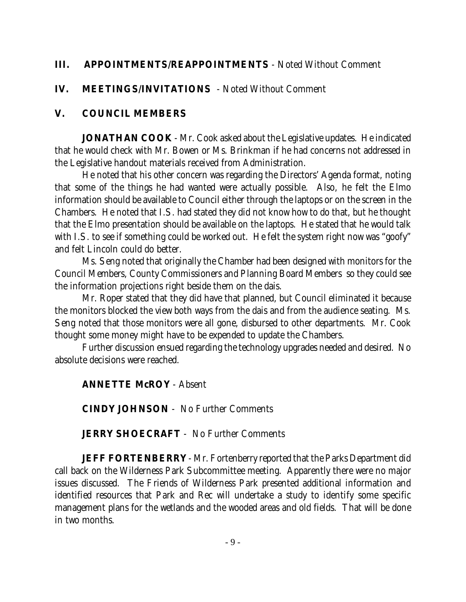# **III. APPOINTMENTS/REAPPOINTMENTS** - Noted Without Comment

# **IV. MEETINGS/INVITATIONS** - Noted Without Comment

# **V. COUNCIL MEMBERS**

**JONATHAN COOK** - Mr. Cook asked about the Legislative updates. He indicated that he would check with Mr. Bowen or Ms. Brinkman if he had concerns not addressed in the Legislative handout materials received from Administration.

He noted that his other concern was regarding the Directors' Agenda format, noting that some of the things he had wanted were actually possible. Also, he felt the Elmo information should be available to Council either through the laptops or on the screen in the Chambers. He noted that I.S. had stated they did not know how to do that, but he thought that the Elmo presentation should be available on the laptops. He stated that he would talk with I.S. to see if something could be worked out. He felt the system right now was "goofy" and felt Lincoln could do better.

Ms. Seng noted that originally the Chamber had been designed with monitors for the Council Members, County Commissioners and Planning Board Members so they could see the information projections right beside them on the dais.

Mr. Roper stated that they did have that planned, but Council eliminated it because the monitors blocked the view both ways from the dais and from the audience seating. Ms. Seng noted that those monitors were all gone, disbursed to other departments. Mr. Cook thought some money might have to be expended to update the Chambers.

Further discussion ensued regarding the technology upgrades needed and desired. No absolute decisions were reached.

### **ANNETTE McROY** - Absent

**CINDY JOHNSON** - No Further Comments

### **JERRY SHOECRAFT** - No Further Comments

**JEFF FORTENBERRY** - Mr. Fortenberry reported that the Parks Department did call back on the Wilderness Park Subcommittee meeting. Apparently there were no major issues discussed. The Friends of Wilderness Park presented additional information and identified resources that Park and Rec will undertake a study to identify some specific management plans for the wetlands and the wooded areas and old fields. That will be done in two months.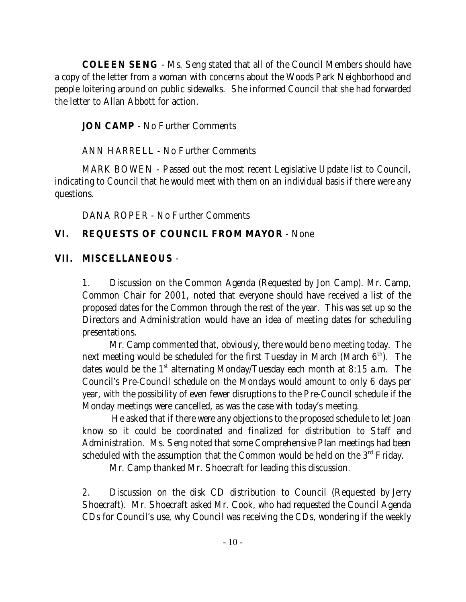**COLEEN SENG** - Ms. Seng stated that all of the Council Members should have a copy of the letter from a woman with concerns about the Woods Park Neighborhood and people loitering around on public sidewalks. She informed Council that she had forwarded the letter to Allan Abbott for action.

**JON CAMP** - No Further Comments

ANN HARRELL - No Further Comments

MARK BOWEN - Passed out the most recent Legislative Update list to Council, indicating to Council that he would meet with them on an individual basis if there were any questions.

DANA ROPER - No Further Comments

# **VI. REQUESTS OF COUNCIL FROM MAYOR** - None

# **VII. MISCELLANEOUS** -

1. Discussion on the Common Agenda (Requested by Jon Camp). Mr. Camp, Common Chair for 2001, noted that everyone should have received a list of the proposed dates for the Common through the rest of the year. This was set up so the Directors and Administration would have an idea of meeting dates for scheduling presentations.

Mr. Camp commented that, obviously, there would be no meeting today. The next meeting would be scheduled for the first Tuesday in March (March  $6<sup>th</sup>$ ). The dates would be the  $1<sup>st</sup>$  alternating Monday/Tuesday each month at 8:15 a.m. The Council's Pre-Council schedule on the Mondays would amount to only 6 days per year, with the possibility of even fewer disruptions to the Pre-Council schedule if the Monday meetings were cancelled, as was the case with today's meeting.

 He asked that if there were any objections to the proposed schedule to let Joan know so it could be coordinated and finalized for distribution to Staff and Administration. Ms. Seng noted that some Comprehensive Plan meetings had been scheduled with the assumption that the Common would be held on the  $3<sup>rd</sup>$  Friday.

Mr. Camp thanked Mr. Shoecraft for leading this discussion.

2. Discussion on the disk CD distribution to Council (Requested by Jerry Shoecraft). Mr. Shoecraft asked Mr. Cook, who had requested the Council Agenda CDs for Council's use, why Council was receiving the CDs, wondering if the weekly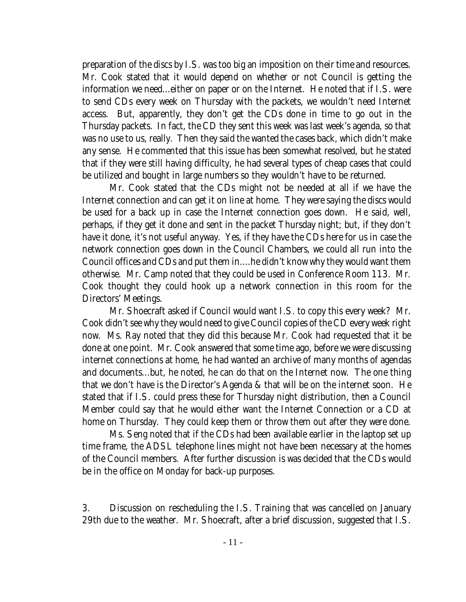preparation of the discs by I.S. was too big an imposition on their time and resources. Mr. Cook stated that it would depend on whether or not Council is getting the information we need...either on paper or on the Internet. He noted that if I.S. were to send CDs every week on Thursday with the packets, we wouldn't need Internet access. But, apparently, they don't get the CDs done in time to go out in the Thursday packets. In fact, the CD they sent this week was last week's agenda, so that was no use to us, really. Then they said the wanted the cases back, which didn't make any sense. He commented that this issue has been somewhat resolved, but he stated that if they were still having difficulty, he had several types of cheap cases that could be utilized and bought in large numbers so they wouldn't have to be returned.

Mr. Cook stated that the CDs might not be needed at all if we have the Internet connection and can get it on line at home. They were saying the discs would be used for a back up in case the Internet connection goes down. He said, well, perhaps, if they get it done and sent in the packet Thursday night; but, if they don't have it done, it's not useful anyway. Yes, if they have the CDs here for us in case the network connection goes down in the Council Chambers, we could all run into the Council offices and CDs and put them in....he didn't know why they would want them otherwise. Mr. Camp noted that they could be used in Conference Room 113. Mr. Cook thought they could hook up a network connection in this room for the Directors' Meetings.

Mr. Shoecraft asked if Council would want I.S. to copy this every week? Mr. Cook didn't see why they would need to give Council copies of the CD every week right now. Ms. Ray noted that they did this because Mr. Cook had requested that it be done at one point. Mr. Cook answered that some time ago, before we were discussing internet connections at home, he had wanted an archive of many months of agendas and documents...but, he noted, he can do that on the Internet now. The one thing that we don't have is the Director's Agenda & that will be on the internet soon. He stated that if I.S. could press these for Thursday night distribution, then a Council Member could say that he would either want the Internet Connection or a CD at home on Thursday. They could keep them or throw them out after they were done.

Ms. Seng noted that if the CDs had been available earlier in the laptop set up time frame, the ADSL telephone lines might not have been necessary at the homes of the Council members. After further discussion is was decided that the CDs would be in the office on Monday for back-up purposes.

3. Discussion on rescheduling the I.S. Training that was cancelled on January 29th due to the weather. Mr. Shoecraft, after a brief discussion, suggested that I.S.